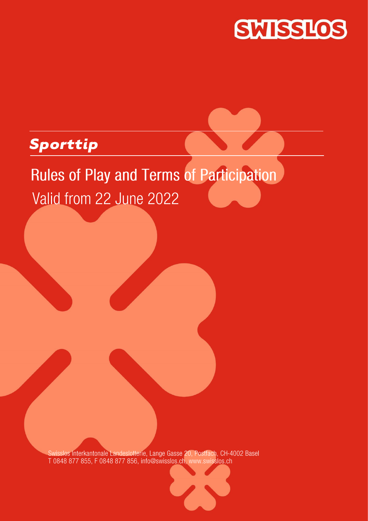

# *Sporttip*

# **Rules of Play and Terms of Participation** Valid from 22 June 2022

Swisslos Interkantonale Landeslotterie, Lange Gasse 20, Postfach, CH-4002 Basel T 0848 877 855, F 0848 877 856, info@swisslos.ch, www.swisslos.ch

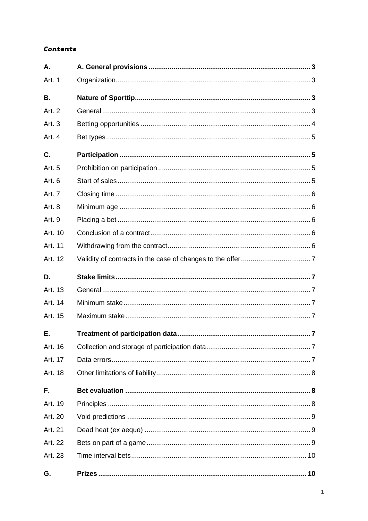# **Contents**

| Α.                |  |
|-------------------|--|
| Art. 1            |  |
| <b>B.</b>         |  |
| Art. 2            |  |
| Art. <sub>3</sub> |  |
| Art. 4            |  |
| C.                |  |
| Art. 5            |  |
| Art. 6            |  |
| Art. 7            |  |
| Art. 8            |  |
| Art. 9            |  |
| Art. 10           |  |
| Art. 11           |  |
| Art. 12           |  |
|                   |  |
| D.                |  |
| Art. 13           |  |
| Art. 14           |  |
| Art. 15           |  |
| Е.                |  |
| Art. 16           |  |
| Art. 17           |  |
| Art. 18           |  |
| F.                |  |
| Art. 19           |  |
| Art. 20           |  |
| Art. 21           |  |
| Art. 22           |  |
| Art. 23           |  |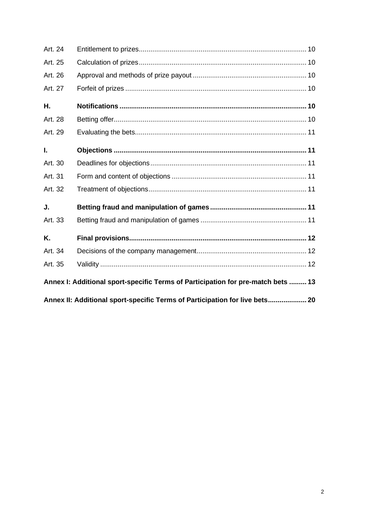| Art. 24 |                                                                                  |  |
|---------|----------------------------------------------------------------------------------|--|
| Art. 25 |                                                                                  |  |
| Art. 26 |                                                                                  |  |
| Art. 27 |                                                                                  |  |
| Η.      |                                                                                  |  |
| Art. 28 |                                                                                  |  |
| Art. 29 |                                                                                  |  |
| Ι.      |                                                                                  |  |
| Art. 30 |                                                                                  |  |
| Art. 31 |                                                                                  |  |
| Art. 32 |                                                                                  |  |
| J.      |                                                                                  |  |
| Art. 33 |                                                                                  |  |
| Κ.      |                                                                                  |  |
| Art. 34 |                                                                                  |  |
| Art. 35 |                                                                                  |  |
|         | Annex I: Additional sport-specific Terms of Participation for pre-match bets  13 |  |
|         | Annex II: Additional sport-specific Terms of Participation for live bets 20      |  |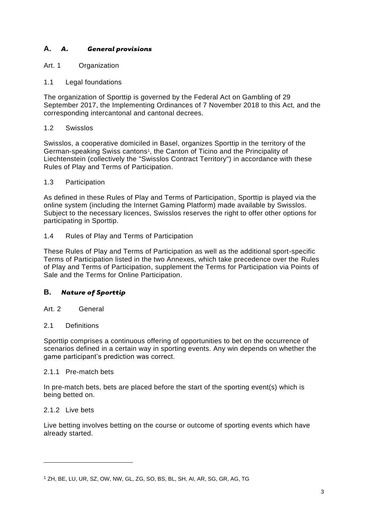# <span id="page-3-0"></span>**A.** *A. General provisions*

# <span id="page-3-1"></span>Art. 1 Organization

# 1.1 Legal foundations

The organization of Sporttip is governed by the Federal Act on Gambling of 29 September 2017, the Implementing Ordinances of 7 November 2018 to this Act, and the corresponding intercantonal and cantonal decrees.

# 1.2 Swisslos

Swisslos, a cooperative domiciled in Basel, organizes Sporttip in the territory of the German-speaking Swiss cantons<sup>1</sup>, the Canton of Ticino and the Principality of Liechtenstein (collectively the "Swisslos Contract Territory") in accordance with these Rules of Play and Terms of Participation.

#### 1.3 Participation

As defined in these Rules of Play and Terms of Participation, Sporttip is played via the online system (including the Internet Gaming Platform) made available by Swisslos. Subject to the necessary licences, Swisslos reserves the right to offer other options for participating in Sporttip.

# 1.4 Rules of Play and Terms of Participation

These Rules of Play and Terms of Participation as well as the additional sport-specific Terms of Participation listed in the two Annexes, which take precedence over the Rules of Play and Terms of Participation, supplement the Terms for Participation via Points of Sale and the Terms for Online Participation.

# <span id="page-3-2"></span>**B.** *Nature of Sporttip*

# <span id="page-3-3"></span>Art. 2 General

#### 2.1 Definitions

Sporttip comprises a continuous offering of opportunities to bet on the occurrence of scenarios defined in a certain way in sporting events. Any win depends on whether the game participant's prediction was correct.

#### 2.1.1 Pre-match bets

In pre-match bets, bets are placed before the start of the sporting event(s) which is being betted on.

#### 2.1.2 Live bets

Live betting involves betting on the course or outcome of sporting events which have already started.

<sup>1</sup> ZH, BE, LU, UR, SZ, OW, NW, GL, ZG, SO, BS, BL, SH, AI, AR, SG, GR, AG, TG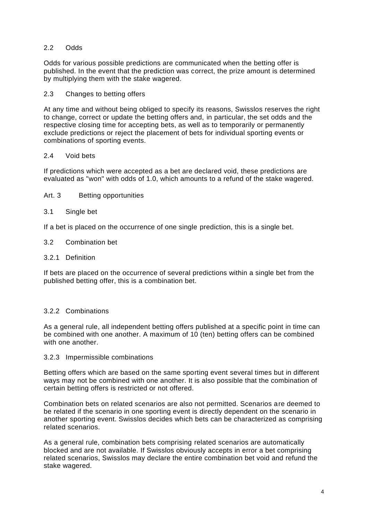# 2.2 Odds

Odds for various possible predictions are communicated when the betting offer is published. In the event that the prediction was correct, the prize amount is determined by multiplying them with the stake wagered.

#### 2.3 Changes to betting offers

At any time and without being obliged to specify its reasons, Swisslos reserves the right to change, correct or update the betting offers and, in particular, the set odds and the respective closing time for accepting bets, as well as to temporarily or permanently exclude predictions or reject the placement of bets for individual sporting events or combinations of sporting events.

#### 2.4 Void bets

If predictions which were accepted as a bet are declared void, these predictions are evaluated as "won" with odds of 1.0, which amounts to a refund of the stake wagered.

<span id="page-4-0"></span>Art. 3 Betting opportunities

#### 3.1 Single bet

If a bet is placed on the occurrence of one single prediction, this is a single bet.

- 3.2 Combination bet
- 3.2.1 Definition

If bets are placed on the occurrence of several predictions within a single bet from the published betting offer, this is a combination bet.

#### 3.2.2 Combinations

As a general rule, all independent betting offers published at a specific point in time can be combined with one another. A maximum of 10 (ten) betting offers can be combined with one another.

#### 3.2.3 Impermissible combinations

Betting offers which are based on the same sporting event several times but in different ways may not be combined with one another. It is also possible that the combination of certain betting offers is restricted or not offered.

Combination bets on related scenarios are also not permitted. Scenarios are deemed to be related if the scenario in one sporting event is directly dependent on the scenario in another sporting event. Swisslos decides which bets can be characterized as comprising related scenarios.

As a general rule, combination bets comprising related scenarios are automatically blocked and are not available. If Swisslos obviously accepts in error a bet comprising related scenarios, Swisslos may declare the entire combination bet void and refund the stake wagered.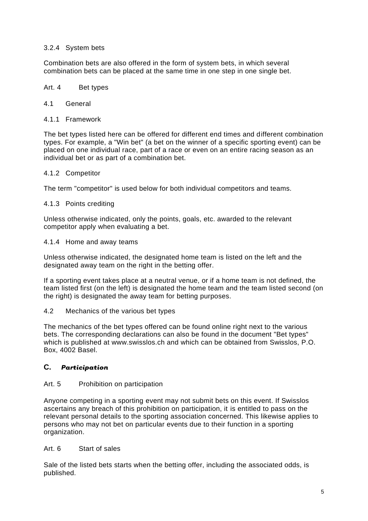# 3.2.4 System bets

Combination bets are also offered in the form of system bets, in which several combination bets can be placed at the same time in one step in one single bet.

#### <span id="page-5-0"></span>Art. 4 Bet types

#### 4.1 General

4.1.1 Framework

The bet types listed here can be offered for different end times and different combination types. For example, a "Win bet" (a bet on the winner of a specific sporting event) can be placed on one individual race, part of a race or even on an entire racing season as an individual bet or as part of a combination bet.

#### 4.1.2 Competitor

The term "competitor" is used below for both individual competitors and teams.

#### 4.1.3 Points crediting

Unless otherwise indicated, only the points, goals, etc. awarded to the relevant competitor apply when evaluating a bet.

#### 4.1.4 Home and away teams

Unless otherwise indicated, the designated home team is listed on the left and the designated away team on the right in the betting offer.

If a sporting event takes place at a neutral venue, or if a home team is not defined, the team listed first (on the left) is designated the home team and the team listed second (on the right) is designated the away team for betting purposes.

#### 4.2 Mechanics of the various bet types

The mechanics of the bet types offered can be found online right next to the various bets. The corresponding declarations can also be found in the document "Bet types" which is published at www.swisslos.ch and which can be obtained from Swisslos, P.O. Box, 4002 Basel.

### <span id="page-5-1"></span>**C.** *Participation*

#### <span id="page-5-2"></span>Art. 5 Prohibition on participation

Anyone competing in a sporting event may not submit bets on this event. If Swisslos ascertains any breach of this prohibition on participation, it is entitled to pass on the relevant personal details to the sporting association concerned. This likewise applies to persons who may not bet on particular events due to their function in a sporting organization.

#### <span id="page-5-3"></span>Art. 6 Start of sales

Sale of the listed bets starts when the betting offer, including the associated odds, is published.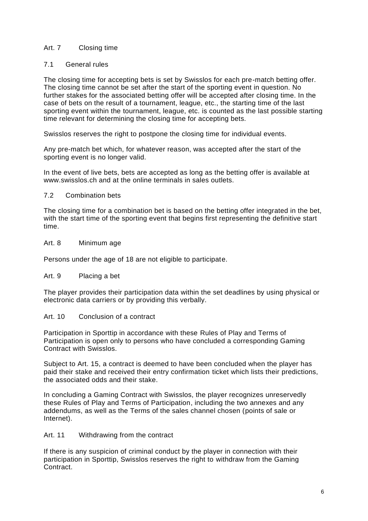# <span id="page-6-0"></span>Art. 7 Closing time

# 7.1 General rules

The closing time for accepting bets is set by Swisslos for each pre-match betting offer. The closing time cannot be set after the start of the sporting event in question. No further stakes for the associated betting offer will be accepted after closing time. In the case of bets on the result of a tournament, league, etc., the starting time of the last sporting event within the tournament, league, etc. is counted as the last possible starting time relevant for determining the closing time for accepting bets.

Swisslos reserves the right to postpone the closing time for individual events.

Any pre-match bet which, for whatever reason, was accepted after the start of the sporting event is no longer valid.

In the event of live bets, bets are accepted as long as the betting offer is available at www.swisslos.ch and at the online terminals in sales outlets.

#### 7.2 Combination bets

The closing time for a combination bet is based on the betting offer integrated in the bet, with the start time of the sporting event that begins first representing the definitive start time.

#### <span id="page-6-1"></span>Art. 8 Minimum age

Persons under the age of 18 are not eligible to participate.

#### <span id="page-6-2"></span>Art. 9 Placing a bet

The player provides their participation data within the set deadlines by using physical or electronic data carriers or by providing this verbally.

#### <span id="page-6-3"></span>Art. 10 Conclusion of a contract

Participation in Sporttip in accordance with these Rules of Play and Terms of Participation is open only to persons who have concluded a corresponding Gaming Contract with Swisslos.

Subject to Art. 15, a contract is deemed to have been concluded when the player has paid their stake and received their entry confirmation ticket which lists their predictions, the associated odds and their stake.

In concluding a Gaming Contract with Swisslos, the player recognizes unreservedly these Rules of Play and Terms of Participation, including the two annexes and any addendums, as well as the Terms of the sales channel chosen (points of sale or Internet).

#### <span id="page-6-4"></span>Art. 11 Withdrawing from the contract

If there is any suspicion of criminal conduct by the player in connection with their participation in Sporttip, Swisslos reserves the right to withdraw from the Gaming Contract.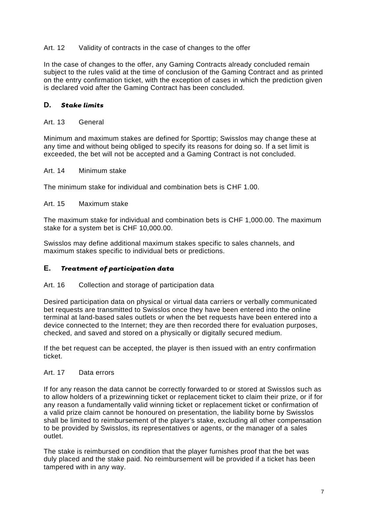# <span id="page-7-0"></span>Art. 12 Validity of contracts in the case of changes to the offer

In the case of changes to the offer, any Gaming Contracts already concluded remain subject to the rules valid at the time of conclusion of the Gaming Contract and as printed on the entry confirmation ticket, with the exception of cases in which the prediction given is declared void after the Gaming Contract has been concluded.

# <span id="page-7-1"></span>**D.** *Stake limits*

#### <span id="page-7-2"></span>Art. 13 General

Minimum and maximum stakes are defined for Sporttip; Swisslos may change these at any time and without being obliged to specify its reasons for doing so. If a set limit is exceeded, the bet will not be accepted and a Gaming Contract is not concluded.

#### <span id="page-7-3"></span>Art. 14 Minimum stake

The minimum stake for individual and combination bets is CHF 1.00.

#### <span id="page-7-4"></span>Art. 15 Maximum stake

The maximum stake for individual and combination bets is CHF 1,000.00. The maximum stake for a system bet is CHF 10,000.00.

Swisslos may define additional maximum stakes specific to sales channels, and maximum stakes specific to individual bets or predictions.

# <span id="page-7-5"></span>**E.** *Treatment of participation data*

#### <span id="page-7-6"></span>Art. 16 Collection and storage of participation data

Desired participation data on physical or virtual data carriers or verbally communicated bet requests are transmitted to Swisslos once they have been entered into the online terminal at land-based sales outlets or when the bet requests have been entered into a device connected to the Internet; they are then recorded there for evaluation purposes, checked, and saved and stored on a physically or digitally secured medium.

If the bet request can be accepted, the player is then issued with an entry confirmation ticket.

# <span id="page-7-7"></span>Art. 17 Data errors

If for any reason the data cannot be correctly forwarded to or stored at Swisslos such as to allow holders of a prizewinning ticket or replacement ticket to claim their prize, or if for any reason a fundamentally valid winning ticket or replacement ticket or confirmation of a valid prize claim cannot be honoured on presentation, the liability borne by Swisslos shall be limited to reimbursement of the player's stake, excluding all other compensation to be provided by Swisslos, its representatives or agents, or the manager of a sales outlet.

The stake is reimbursed on condition that the player furnishes proof that the bet was duly placed and the stake paid. No reimbursement will be provided if a ticket has been tampered with in any way.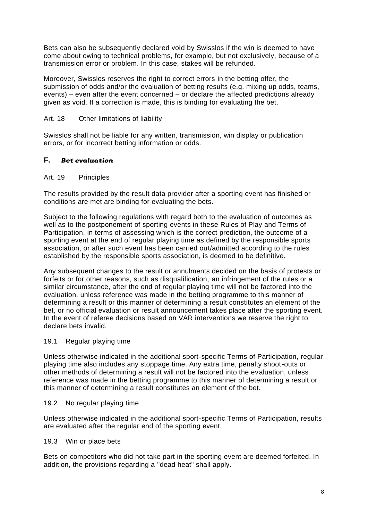Bets can also be subsequently declared void by Swisslos if the win is deemed to have come about owing to technical problems, for example, but not exclusively, because of a transmission error or problem. In this case, stakes will be refunded.

Moreover, Swisslos reserves the right to correct errors in the betting offer, the submission of odds and/or the evaluation of betting results (e.g. mixing up odds, teams, events) – even after the event concerned – or declare the affected predictions already given as void. If a correction is made, this is binding for evaluating the bet.

# <span id="page-8-0"></span>Art. 18 Other limitations of liability

Swisslos shall not be liable for any written, transmission, win display or publication errors, or for incorrect betting information or odds.

# <span id="page-8-1"></span>**F.** *Bet evaluation*

#### <span id="page-8-2"></span>Art. 19 Principles

The results provided by the result data provider after a sporting event has finished or conditions are met are binding for evaluating the bets.

Subject to the following regulations with regard both to the evaluation of outcomes as well as to the postponement of sporting events in these Rules of Play and Terms of Participation, in terms of assessing which is the correct prediction, the outcome of a sporting event at the end of regular playing time as defined by the responsible sports association, or after such event has been carried out/admitted according to the rules established by the responsible sports association, is deemed to be definitive.

Any subsequent changes to the result or annulments decided on the basis of protests or forfeits or for other reasons, such as disqualification, an infringement of the rules or a similar circumstance, after the end of regular playing time will not be factored into the evaluation, unless reference was made in the betting programme to this manner of determining a result or this manner of determining a result constitutes an element of the bet, or no official evaluation or result announcement takes place after the sporting event. In the event of referee decisions based on VAR interventions we reserve the right to declare bets invalid.

#### 19.1 Regular playing time

Unless otherwise indicated in the additional sport-specific Terms of Participation, regular playing time also includes any stoppage time. Any extra time, penalty shoot-outs or other methods of determining a result will not be factored into the evaluation, unless reference was made in the betting programme to this manner of determining a result or this manner of determining a result constitutes an element of the bet.

#### 19.2 No regular playing time

Unless otherwise indicated in the additional sport-specific Terms of Participation, results are evaluated after the regular end of the sporting event.

#### 19.3 Win or place bets

Bets on competitors who did not take part in the sporting event are deemed forfeited. In addition, the provisions regarding a "dead heat" shall apply.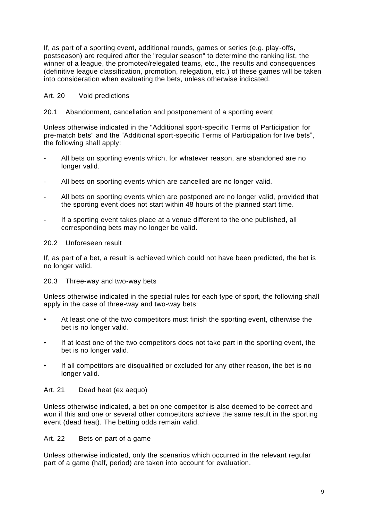If, as part of a sporting event, additional rounds, games or series (e.g. play-offs, postseason) are required after the "regular season" to determine the ranking list, the winner of a league, the promoted/relegated teams, etc., the results and consequences (definitive league classification, promotion, relegation, etc.) of these games will be taken into consideration when evaluating the bets, unless otherwise indicated.

# <span id="page-9-0"></span>Art. 20 Void predictions

# 20.1 Abandonment, cancellation and postponement of a sporting event

Unless otherwise indicated in the "Additional sport-specific Terms of Participation for pre-match bets" and the "Additional sport-specific Terms of Participation for live bets", the following shall apply:

- All bets on sporting events which, for whatever reason, are abandoned are no longer valid.
- All bets on sporting events which are cancelled are no longer valid.
- All bets on sporting events which are postponed are no longer valid, provided that the sporting event does not start within 48 hours of the planned start time.
- If a sporting event takes place at a venue different to the one published, all corresponding bets may no longer be valid.

#### 20.2 Unforeseen result

If, as part of a bet, a result is achieved which could not have been predicted, the bet is no longer valid.

#### 20.3 Three-way and two-way bets

Unless otherwise indicated in the special rules for each type of sport, the following shall apply in the case of three-way and two-way bets:

- At least one of the two competitors must finish the sporting event, otherwise the bet is no longer valid.
- If at least one of the two competitors does not take part in the sporting event, the bet is no longer valid.
- If all competitors are disqualified or excluded for any other reason, the bet is no longer valid.

#### <span id="page-9-1"></span>Art. 21 Dead heat (ex aequo)

Unless otherwise indicated, a bet on one competitor is also deemed to be correct and won if this and one or several other competitors achieve the same result in the sporting event (dead heat). The betting odds remain valid.

#### <span id="page-9-2"></span>Art. 22 Bets on part of a game

Unless otherwise indicated, only the scenarios which occurred in the relevant regular part of a game (half, period) are taken into account for evaluation.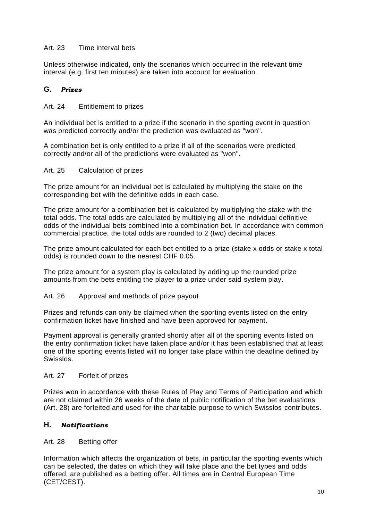# <span id="page-10-0"></span>Art. 23 Time interval bets

Unless otherwise indicated, only the scenarios which occurred in the relevant time interval (e.g. first ten minutes) are taken into account for evaluation.

# <span id="page-10-1"></span>**G.** *Prizes*

#### <span id="page-10-2"></span>Art. 24 Entitlement to prizes

An individual bet is entitled to a prize if the scenario in the sporting event in question was predicted correctly and/or the prediction was evaluated as "won".

A combination bet is only entitled to a prize if all of the scenarios were predicted correctly and/or all of the predictions were evaluated as "won".

#### <span id="page-10-3"></span>Art. 25 Calculation of prizes

The prize amount for an individual bet is calculated by multiplying the stake on the corresponding bet with the definitive odds in each case.

The prize amount for a combination bet is calculated by multiplying the stake with the total odds. The total odds are calculated by multiplying all of the individual definitive odds of the individual bets combined into a combination bet. In accordance with common commercial practice, the total odds are rounded to 2 (two) decimal places.

The prize amount calculated for each bet entitled to a prize (stake x odds or stake x total odds) is rounded down to the nearest CHF 0.05.

The prize amount for a system play is calculated by adding up the rounded prize amounts from the bets entitling the player to a prize under said system play.

#### <span id="page-10-4"></span>Art. 26 Approval and methods of prize payout

Prizes and refunds can only be claimed when the sporting events listed on the entry confirmation ticket have finished and have been approved for payment.

Payment approval is generally granted shortly after all of the sporting events listed on the entry confirmation ticket have taken place and/or it has been established that at least one of the sporting events listed will no longer take place within the deadline defined by Swisslos.

# <span id="page-10-5"></span>Art. 27 Forfeit of prizes

Prizes won in accordance with these Rules of Play and Terms of Participation and which are not claimed within 26 weeks of the date of public notification of the bet evaluations (Art. 28) are forfeited and used for the charitable purpose to which Swisslos contributes.

#### <span id="page-10-6"></span>**H.** *Notifications*

#### <span id="page-10-7"></span>Art. 28 Betting offer

Information which affects the organization of bets, in particular the sporting events which can be selected, the dates on which they will take place and the bet types and odds offered, are published as a betting offer. All times are in Central European Time (CET/CEST).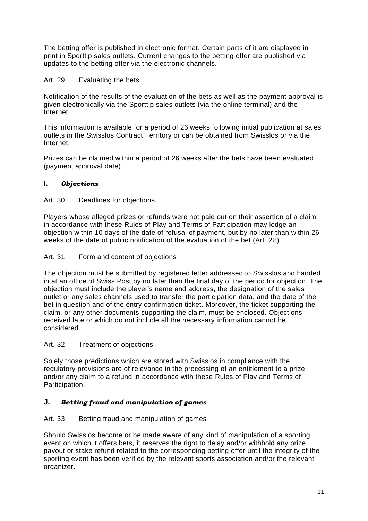The betting offer is published in electronic format. Certain parts of it are displayed in print in Sporttip sales outlets. Current changes to the betting offer are published via updates to the betting offer via the electronic channels.

# <span id="page-11-0"></span>Art. 29 Evaluating the bets

Notification of the results of the evaluation of the bets as well as the payment approval is given electronically via the Sporttip sales outlets (via the online terminal) and the Internet.

This information is available for a period of 26 weeks following initial publication at sales outlets in the Swisslos Contract Territory or can be obtained from Swisslos or via the Internet.

Prizes can be claimed within a period of 26 weeks after the bets have been evaluated (payment approval date).

# <span id="page-11-1"></span>**I.** *Objections*

# <span id="page-11-2"></span>Art. 30 Deadlines for objections

Players whose alleged prizes or refunds were not paid out on their assertion of a claim in accordance with these Rules of Play and Terms of Participation may lodge an objection within 10 days of the date of refusal of payment, but by no later than within 26 weeks of the date of public notification of the evaluation of the bet (Art. 28).

# <span id="page-11-3"></span>Art. 31 Form and content of objections

The objection must be submitted by registered letter addressed to Swisslos and handed in at an office of Swiss Post by no later than the final day of the period for objection. The objection must include the player's name and address, the designation of the sales outlet or any sales channels used to transfer the participation data, and the date of the bet in question and of the entry confirmation ticket. Moreover, the ticket supporting the claim, or any other documents supporting the claim, must be enclosed. Objections received late or which do not include all the necessary information cannot be considered.

#### <span id="page-11-4"></span>Art. 32 Treatment of objections

Solely those predictions which are stored with Swisslos in compliance with the regulatory provisions are of relevance in the processing of an entitlement to a prize and/or any claim to a refund in accordance with these Rules of Play and Terms of Participation.

# <span id="page-11-5"></span>**J.** *Betting fraud and manipulation of games*

# <span id="page-11-6"></span>Art. 33 Betting fraud and manipulation of games

Should Swisslos become or be made aware of any kind of manipulation of a sporting event on which it offers bets, it reserves the right to delay and/or withhold any prize payout or stake refund related to the corresponding betting offer until the integrity of the sporting event has been verified by the relevant sports association and/or the relevant organizer.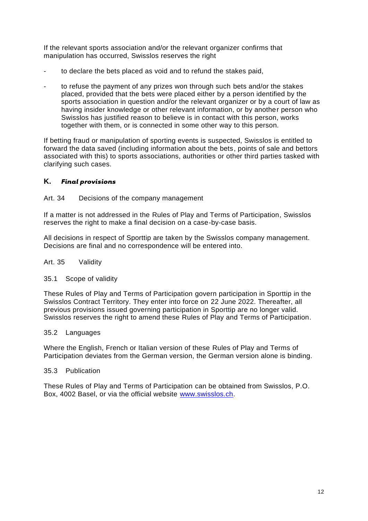If the relevant sports association and/or the relevant organizer confirms that manipulation has occurred, Swisslos reserves the right

- to declare the bets placed as void and to refund the stakes paid,
- to refuse the payment of any prizes won through such bets and/or the stakes placed, provided that the bets were placed either by a person identified by the sports association in question and/or the relevant organizer or by a court of law as having insider knowledge or other relevant information, or by another person who Swisslos has justified reason to believe is in contact with this person, works together with them, or is connected in some other way to this person.

If betting fraud or manipulation of sporting events is suspected, Swisslos is entitled to forward the data saved (including information about the bets, points of sale and bettors associated with this) to sports associations, authorities or other third parties tasked with clarifying such cases.

# <span id="page-12-0"></span>**K.** *Final provisions*

#### <span id="page-12-1"></span>Art. 34 Decisions of the company management

If a matter is not addressed in the Rules of Play and Terms of Participation, Swisslos reserves the right to make a final decision on a case-by-case basis.

All decisions in respect of Sporttip are taken by the Swisslos company management. Decisions are final and no correspondence will be entered into.

#### <span id="page-12-2"></span>Art. 35 Validity

#### 35.1 Scope of validity

These Rules of Play and Terms of Participation govern participation in Sporttip in the Swisslos Contract Territory. They enter into force on 22 June 2022. Thereafter, all previous provisions issued governing participation in Sporttip are no longer valid. Swisslos reserves the right to amend these Rules of Play and Terms of Participation.

#### 35.2 Languages

Where the English, French or Italian version of these Rules of Play and Terms of Participation deviates from the German version, the German version alone is binding.

#### 35.3 Publication

These Rules of Play and Terms of Participation can be obtained from Swisslos, P.O. Box, 4002 Basel, or via the official website [www.swisslos.ch.](http://www.swisslos.ch/)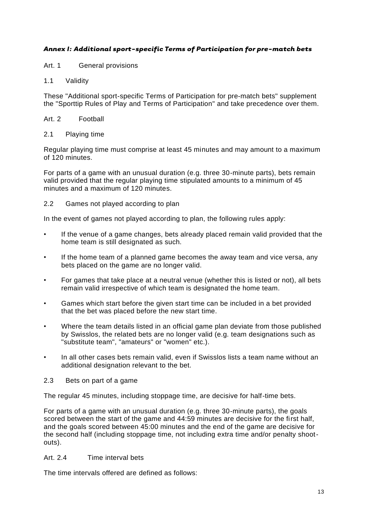# <span id="page-13-0"></span>*Annex I: Additional sport-specific Terms of Participation for pre-match bets*

Art. 1 General provisions

1.1 Validity

These "Additional sport-specific Terms of Participation for pre-match bets" supplement the "Sporttip Rules of Play and Terms of Participation" and take precedence over them.

#### Art. 2 Football

#### 2.1 Playing time

Regular playing time must comprise at least 45 minutes and may amount to a maximum of 120 minutes.

For parts of a game with an unusual duration (e.g. three 30-minute parts), bets remain valid provided that the regular playing time stipulated amounts to a minimum of 45 minutes and a maximum of 120 minutes.

#### 2.2 Games not played according to plan

In the event of games not played according to plan, the following rules apply:

- If the venue of a game changes, bets already placed remain valid provided that the home team is still designated as such.
- If the home team of a planned game becomes the away team and vice versa, any bets placed on the game are no longer valid.
- For games that take place at a neutral venue (whether this is listed or not), all bets remain valid irrespective of which team is designated the home team.
- Games which start before the given start time can be included in a bet provided that the bet was placed before the new start time.
- Where the team details listed in an official game plan deviate from those published by Swisslos, the related bets are no longer valid (e.g. team designations such as "substitute team", "amateurs" or "women" etc.).
- In all other cases bets remain valid, even if Swisslos lists a team name without an additional designation relevant to the bet.
- 2.3 Bets on part of a game

The regular 45 minutes, including stoppage time, are decisive for half-time bets.

For parts of a game with an unusual duration (e.g. three 30-minute parts), the goals scored between the start of the game and 44:59 minutes are decisive for the first half, and the goals scored between 45:00 minutes and the end of the game are decisive for the second half (including stoppage time, not including extra time and/or penalty shootouts).

# Art. 2.4 Time interval bets

The time intervals offered are defined as follows: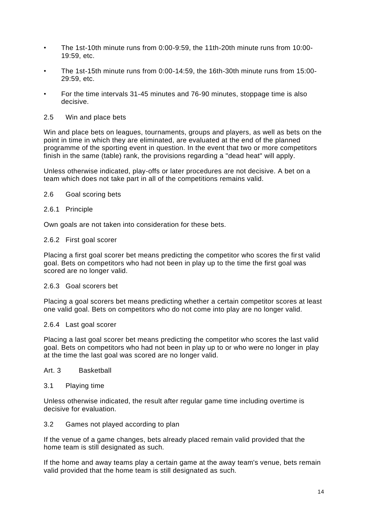- The 1st-10th minute runs from 0:00-9:59, the 11th-20th minute runs from 10:00- 19:59, etc.
- The 1st-15th minute runs from 0:00-14:59, the 16th-30th minute runs from 15:00- 29:59, etc.
- For the time intervals 31-45 minutes and 76-90 minutes, stoppage time is also decisive.
- 2.5 Win and place bets

Win and place bets on leagues, tournaments, groups and players, as well as bets on the point in time in which they are eliminated, are evaluated at the end of the planned programme of the sporting event in question. In the event that two or more competitors finish in the same (table) rank, the provisions regarding a "dead heat" will apply.

Unless otherwise indicated, play-offs or later procedures are not decisive. A bet on a team which does not take part in all of the competitions remains valid.

2.6 Goal scoring bets

#### 2.6.1 Principle

Own goals are not taken into consideration for these bets.

#### 2.6.2 First goal scorer

Placing a first goal scorer bet means predicting the competitor who scores the first valid goal. Bets on competitors who had not been in play up to the time the first goal was scored are no longer valid.

#### 2.6.3 Goal scorers bet

Placing a goal scorers bet means predicting whether a certain competitor scores at least one valid goal. Bets on competitors who do not come into play are no longer valid.

#### 2.6.4 Last goal scorer

Placing a last goal scorer bet means predicting the competitor who scores the last valid goal. Bets on competitors who had not been in play up to or who were no longer in play at the time the last goal was scored are no longer valid.

#### Art. 3 Basketball

3.1 Playing time

Unless otherwise indicated, the result after regular game time including overtime is decisive for evaluation.

#### 3.2 Games not played according to plan

If the venue of a game changes, bets already placed remain valid provided that the home team is still designated as such.

If the home and away teams play a certain game at the away team's venue, bets remain valid provided that the home team is still designated as such.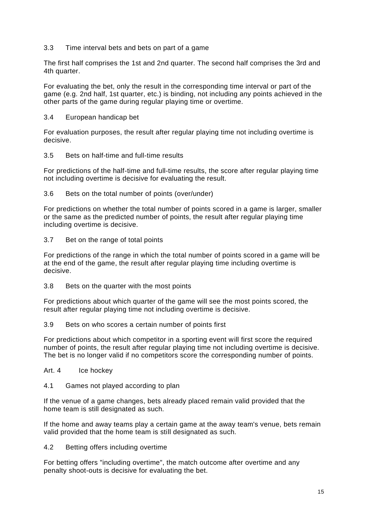# 3.3 Time interval bets and bets on part of a game

The first half comprises the 1st and 2nd quarter. The second half comprises the 3rd and 4th quarter.

For evaluating the bet, only the result in the corresponding time interval or part of the game (e.g. 2nd half, 1st quarter, etc.) is binding, not including any points achieved in the other parts of the game during regular playing time or overtime.

#### 3.4 European handicap bet

For evaluation purposes, the result after regular playing time not including overtime is decisive.

#### 3.5 Bets on half-time and full-time results

For predictions of the half-time and full-time results, the score after regular playing time not including overtime is decisive for evaluating the result.

3.6 Bets on the total number of points (over/under)

For predictions on whether the total number of points scored in a game is larger, smaller or the same as the predicted number of points, the result after regular playing time including overtime is decisive.

3.7 Bet on the range of total points

For predictions of the range in which the total number of points scored in a game will be at the end of the game, the result after regular playing time including overtime is decisive.

3.8 Bets on the quarter with the most points

For predictions about which quarter of the game will see the most points scored, the result after regular playing time not including overtime is decisive.

3.9 Bets on who scores a certain number of points first

For predictions about which competitor in a sporting event will first score the required number of points, the result after regular playing time not including overtime is decisive. The bet is no longer valid if no competitors score the corresponding number of points.

- Art. 4 Ice hockey
- 4.1 Games not played according to plan

If the venue of a game changes, bets already placed remain valid provided that the home team is still designated as such.

If the home and away teams play a certain game at the away team's venue, bets remain valid provided that the home team is still designated as such.

4.2 Betting offers including overtime

For betting offers "including overtime", the match outcome after overtime and any penalty shoot-outs is decisive for evaluating the bet.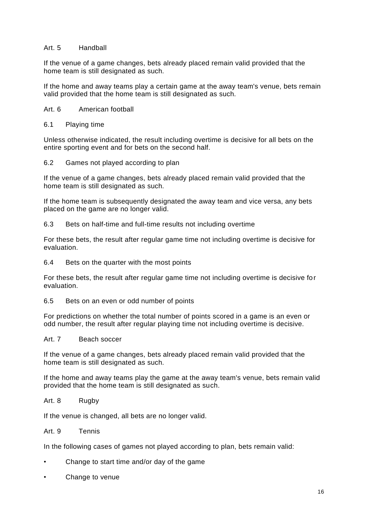#### Art. 5 Handball

If the venue of a game changes, bets already placed remain valid provided that the home team is still designated as such.

If the home and away teams play a certain game at the away team's venue, bets remain valid provided that the home team is still designated as such.

- Art. 6 American football
- 6.1 Playing time

Unless otherwise indicated, the result including overtime is decisive for all bets on the entire sporting event and for bets on the second half.

6.2 Games not played according to plan

If the venue of a game changes, bets already placed remain valid provided that the home team is still designated as such.

If the home team is subsequently designated the away team and vice versa, any bets placed on the game are no longer valid.

6.3 Bets on half-time and full-time results not including overtime

For these bets, the result after regular game time not including overtime is decisive for evaluation.

6.4 Bets on the quarter with the most points

For these bets, the result after regular game time not including overtime is decisive for evaluation.

6.5 Bets on an even or odd number of points

For predictions on whether the total number of points scored in a game is an even or odd number, the result after regular playing time not including overtime is decisive.

#### Art. 7 Beach soccer

If the venue of a game changes, bets already placed remain valid provided that the home team is still designated as such.

If the home and away teams play the game at the away team's venue, bets remain valid provided that the home team is still designated as such.

#### Art. 8 Rugby

If the venue is changed, all bets are no longer valid.

# Art. 9 Tennis

In the following cases of games not played according to plan, bets remain valid:

- Change to start time and/or day of the game
- Change to venue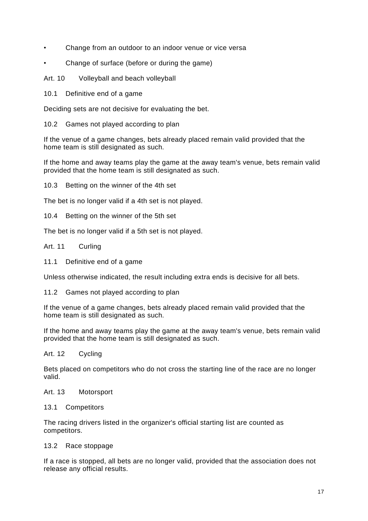- Change from an outdoor to an indoor venue or vice versa
- Change of surface (before or during the game)

Art. 10 Volleyball and beach volleyball

10.1 Definitive end of a game

Deciding sets are not decisive for evaluating the bet.

10.2 Games not played according to plan

If the venue of a game changes, bets already placed remain valid provided that the home team is still designated as such.

If the home and away teams play the game at the away team's venue, bets remain valid provided that the home team is still designated as such.

10.3 Betting on the winner of the 4th set

The bet is no longer valid if a 4th set is not played.

10.4 Betting on the winner of the 5th set

The bet is no longer valid if a 5th set is not played.

#### Art. 11 Curling

11.1 Definitive end of a game

Unless otherwise indicated, the result including extra ends is decisive for all bets.

11.2 Games not played according to plan

If the venue of a game changes, bets already placed remain valid provided that the home team is still designated as such.

If the home and away teams play the game at the away team's venue, bets remain valid provided that the home team is still designated as such.

#### Art. 12 Cycling

Bets placed on competitors who do not cross the starting line of the race are no longer valid.

# Art. 13 Motorsport

#### 13.1 Competitors

The racing drivers listed in the organizer's official starting list are counted as competitors.

#### 13.2 Race stoppage

If a race is stopped, all bets are no longer valid, provided that the association does not release any official results.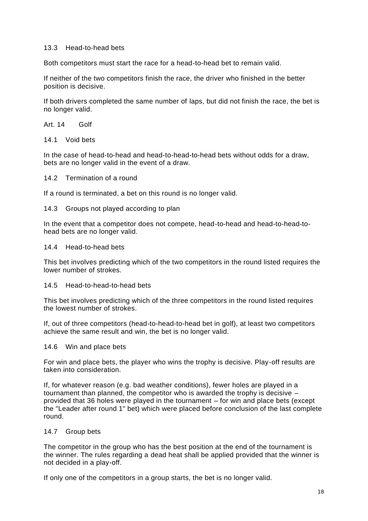# 13.3 Head-to-head bets

Both competitors must start the race for a head-to-head bet to remain valid.

If neither of the two competitors finish the race, the driver who finished in the better position is decisive.

If both drivers completed the same number of laps, but did not finish the race, the bet is no longer valid.

Art. 14 Golf

14.1 Void bets

In the case of head-to-head and head-to-head-to-head bets without odds for a draw, bets are no longer valid in the event of a draw.

#### 14.2 Termination of a round

If a round is terminated, a bet on this round is no longer valid.

#### 14.3 Groups not played according to plan

In the event that a competitor does not compete, head-to-head and head-to-head-tohead bets are no longer valid.

#### 14.4 Head-to-head bets

This bet involves predicting which of the two competitors in the round listed requires the lower number of strokes.

#### 14.5 Head-to-head-to-head bets

This bet involves predicting which of the three competitors in the round listed requires the lowest number of strokes.

If, out of three competitors (head-to-head-to-head bet in golf), at least two competitors achieve the same result and win, the bet is no longer valid.

#### 14.6 Win and place bets

For win and place bets, the player who wins the trophy is decisive. Play-off results are taken into consideration.

If, for whatever reason (e.g. bad weather conditions), fewer holes are played in a tournament than planned, the competitor who is awarded the trophy is decisive – provided that 36 holes were played in the tournament – for win and place bets (except the "Leader after round 1" bet) which were placed before conclusion of the last complete round.

#### 14.7 Group bets

The competitor in the group who has the best position at the end of the tournament is the winner. The rules regarding a dead heat shall be applied provided that the winner is not decided in a play-off.

If only one of the competitors in a group starts, the bet is no longer valid.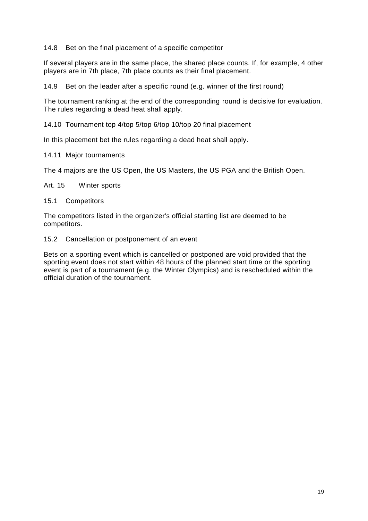#### 14.8 Bet on the final placement of a specific competitor

If several players are in the same place, the shared place counts. If, for example, 4 other players are in 7th place, 7th place counts as their final placement.

14.9 Bet on the leader after a specific round (e.g. winner of the first round)

The tournament ranking at the end of the corresponding round is decisive for evaluation. The rules regarding a dead heat shall apply.

14.10 Tournament top 4/top 5/top 6/top 10/top 20 final placement

In this placement bet the rules regarding a dead heat shall apply.

#### 14.11 Major tournaments

The 4 majors are the US Open, the US Masters, the US PGA and the British Open.

Art. 15 Winter sports

15.1 Competitors

The competitors listed in the organizer's official starting list are deemed to be competitors.

15.2 Cancellation or postponement of an event

Bets on a sporting event which is cancelled or postponed are void provided that the sporting event does not start within 48 hours of the planned start time or the sporting event is part of a tournament (e.g. the Winter Olympics) and is rescheduled within the official duration of the tournament.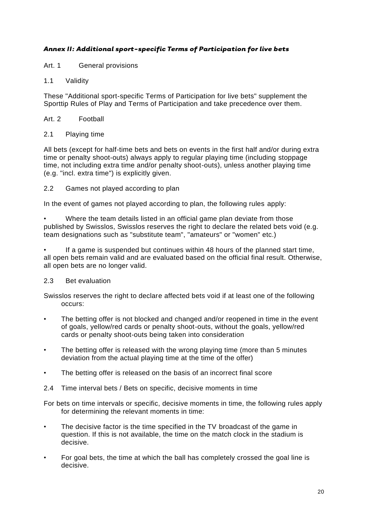# <span id="page-20-0"></span>*Annex II: Additional sport-specific Terms of Participation for live bets*

Art. 1 General provisions

#### 1.1 Validity

These "Additional sport-specific Terms of Participation for live bets" supplement the Sporttip Rules of Play and Terms of Participation and take precedence over them.

#### Art. 2 Football

#### 2.1 Playing time

All bets (except for half-time bets and bets on events in the first half and/or during extra time or penalty shoot-outs) always apply to regular playing time (including stoppage time, not including extra time and/or penalty shoot-outs), unless another playing time (e.g. "incl. extra time") is explicitly given.

2.2 Games not played according to plan

In the event of games not played according to plan, the following rules apply:

• Where the team details listed in an official game plan deviate from those published by Swisslos, Swisslos reserves the right to declare the related bets void (e.g. team designations such as "substitute team", "amateurs" or "women" etc.)

If a game is suspended but continues within 48 hours of the planned start time, all open bets remain valid and are evaluated based on the official final result. Otherwise, all open bets are no longer valid.

#### 2.3 Bet evaluation

Swisslos reserves the right to declare affected bets void if at least one of the following occurs:

- The betting offer is not blocked and changed and/or reopened in time in the event of goals, yellow/red cards or penalty shoot-outs, without the goals, yellow/red cards or penalty shoot-outs being taken into consideration
- The betting offer is released with the wrong playing time (more than 5 minutes deviation from the actual playing time at the time of the offer)
- The betting offer is released on the basis of an incorrect final score
- 2.4 Time interval bets / Bets on specific, decisive moments in time

For bets on time intervals or specific, decisive moments in time, the following rules apply for determining the relevant moments in time:

- The decisive factor is the time specified in the TV broadcast of the game in question. If this is not available, the time on the match clock in the stadium is decisive.
- For goal bets, the time at which the ball has completely crossed the goal line is decisive.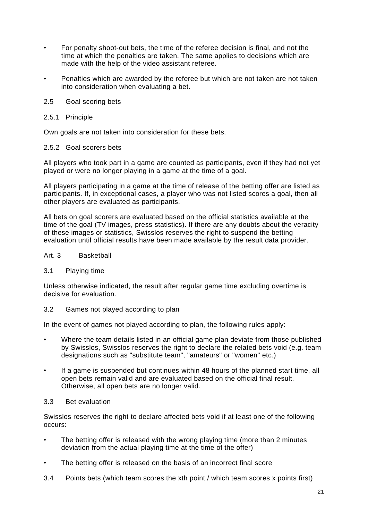- For penalty shoot-out bets, the time of the referee decision is final, and not the time at which the penalties are taken. The same applies to decisions which are made with the help of the video assistant referee.
- Penalties which are awarded by the referee but which are not taken are not taken into consideration when evaluating a bet.
- 2.5 Goal scoring bets
- 2.5.1 Principle

Own goals are not taken into consideration for these bets.

#### 2.5.2 Goal scorers bets

All players who took part in a game are counted as participants, even if they had not yet played or were no longer playing in a game at the time of a goal.

All players participating in a game at the time of release of the betting offer are listed as participants. If, in exceptional cases, a player who was not listed scores a goal, then all other players are evaluated as participants.

All bets on goal scorers are evaluated based on the official statistics available at the time of the goal (TV images, press statistics). If there are any doubts about the veracity of these images or statistics, Swisslos reserves the right to suspend the betting evaluation until official results have been made available by the result data provider.

#### Art. 3 Basketball

#### 3.1 Playing time

Unless otherwise indicated, the result after regular game time excluding overtime is decisive for evaluation.

3.2 Games not played according to plan

In the event of games not played according to plan, the following rules apply:

- Where the team details listed in an official game plan deviate from those published by Swisslos, Swisslos reserves the right to declare the related bets void (e.g. team designations such as "substitute team", "amateurs" or "women" etc.)
- If a game is suspended but continues within 48 hours of the planned start time, all open bets remain valid and are evaluated based on the official final result. Otherwise, all open bets are no longer valid.

#### 3.3 Bet evaluation

Swisslos reserves the right to declare affected bets void if at least one of the following occurs:

- The betting offer is released with the wrong playing time (more than 2 minutes deviation from the actual playing time at the time of the offer)
- The betting offer is released on the basis of an incorrect final score
- 3.4 Points bets (which team scores the xth point / which team scores x points first)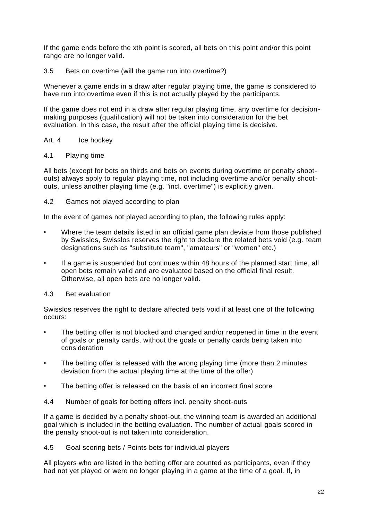If the game ends before the xth point is scored, all bets on this point and/or this point range are no longer valid.

# 3.5 Bets on overtime (will the game run into overtime?)

Whenever a game ends in a draw after regular playing time, the game is considered to have run into overtime even if this is not actually played by the participants.

If the game does not end in a draw after regular playing time, any overtime for decisionmaking purposes (qualification) will not be taken into consideration for the bet evaluation. In this case, the result after the official playing time is decisive.

#### Art. 4 Ice hockey

#### 4.1 Playing time

All bets (except for bets on thirds and bets on events during overtime or penalty shootouts) always apply to regular playing time, not including overtime and/or penalty shootouts, unless another playing time (e.g. "incl. overtime") is explicitly given.

# 4.2 Games not played according to plan

In the event of games not played according to plan, the following rules apply:

- Where the team details listed in an official game plan deviate from those published by Swisslos, Swisslos reserves the right to declare the related bets void (e.g. team designations such as "substitute team", "amateurs" or "women" etc.)
- If a game is suspended but continues within 48 hours of the planned start time, all open bets remain valid and are evaluated based on the official final result. Otherwise, all open bets are no longer valid.

# 4.3 Bet evaluation

Swisslos reserves the right to declare affected bets void if at least one of the following occurs:

- The betting offer is not blocked and changed and/or reopened in time in the event of goals or penalty cards, without the goals or penalty cards being taken into consideration
- The betting offer is released with the wrong playing time (more than 2 minutes deviation from the actual playing time at the time of the offer)
- The betting offer is released on the basis of an incorrect final score
- 4.4 Number of goals for betting offers incl. penalty shoot-outs

If a game is decided by a penalty shoot-out, the winning team is awarded an additional goal which is included in the betting evaluation. The number of actual goals scored in the penalty shoot-out is not taken into consideration.

4.5 Goal scoring bets / Points bets for individual players

All players who are listed in the betting offer are counted as participants, even if they had not yet played or were no longer playing in a game at the time of a goal. If, in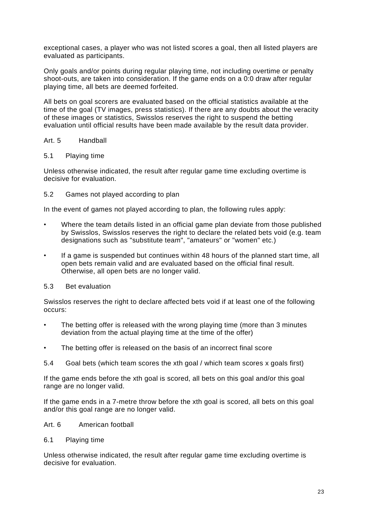exceptional cases, a player who was not listed scores a goal, then all listed players are evaluated as participants.

Only goals and/or points during regular playing time, not including overtime or penalty shoot-outs, are taken into consideration. If the game ends on a 0:0 draw after regular playing time, all bets are deemed forfeited.

All bets on goal scorers are evaluated based on the official statistics available at the time of the goal (TV images, press statistics). If there are any doubts about the veracity of these images or statistics, Swisslos reserves the right to suspend the betting evaluation until official results have been made available by the result data provider.

# Art. 5 Handball

#### 5.1 Playing time

Unless otherwise indicated, the result after regular game time excluding overtime is decisive for evaluation.

#### 5.2 Games not played according to plan

In the event of games not played according to plan, the following rules apply:

- Where the team details listed in an official game plan deviate from those published by Swisslos, Swisslos reserves the right to declare the related bets void (e.g. team designations such as "substitute team", "amateurs" or "women" etc.)
- If a game is suspended but continues within 48 hours of the planned start time, all open bets remain valid and are evaluated based on the official final result. Otherwise, all open bets are no longer valid.

#### 5.3 Bet evaluation

Swisslos reserves the right to declare affected bets void if at least one of the following occurs:

- The betting offer is released with the wrong playing time (more than 3 minutes deviation from the actual playing time at the time of the offer)
- The betting offer is released on the basis of an incorrect final score
- 5.4 Goal bets (which team scores the xth goal / which team scores x goals first)

If the game ends before the xth goal is scored, all bets on this goal and/or this goal range are no longer valid.

If the game ends in a 7-metre throw before the xth goal is scored, all bets on this goal and/or this goal range are no longer valid.

#### Art. 6 American football

#### 6.1 Playing time

Unless otherwise indicated, the result after regular game time excluding overtime is decisive for evaluation.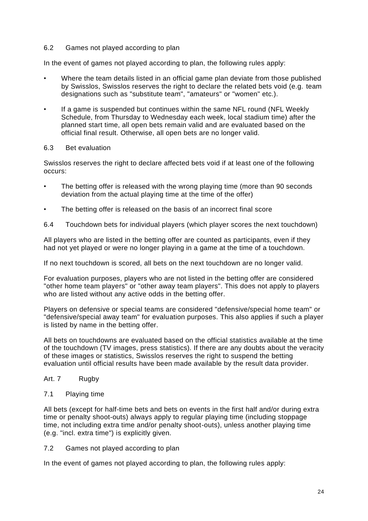# 6.2 Games not played according to plan

In the event of games not played according to plan, the following rules apply:

- Where the team details listed in an official game plan deviate from those published by Swisslos, Swisslos reserves the right to declare the related bets void (e.g. team designations such as "substitute team", "amateurs" or "women" etc.).
- If a game is suspended but continues within the same NFL round (NFL Weekly Schedule, from Thursday to Wednesday each week, local stadium time) after the planned start time, all open bets remain valid and are evaluated based on the official final result. Otherwise, all open bets are no longer valid.

#### 6.3 Bet evaluation

Swisslos reserves the right to declare affected bets void if at least one of the following occurs:

- The betting offer is released with the wrong playing time (more than 90 seconds deviation from the actual playing time at the time of the offer)
- The betting offer is released on the basis of an incorrect final score
- 6.4 Touchdown bets for individual players (which player scores the next touchdown)

All players who are listed in the betting offer are counted as participants, even if they had not yet played or were no longer playing in a game at the time of a touchdown.

If no next touchdown is scored, all bets on the next touchdown are no longer valid.

For evaluation purposes, players who are not listed in the betting offer are considered "other home team players" or "other away team players". This does not apply to players who are listed without any active odds in the betting offer.

Players on defensive or special teams are considered "defensive/special home team" or "defensive/special away team" for evaluation purposes. This also applies if such a player is listed by name in the betting offer.

All bets on touchdowns are evaluated based on the official statistics available at the time of the touchdown (TV images, press statistics). If there are any doubts about the veracity of these images or statistics, Swisslos reserves the right to suspend the betting evaluation until official results have been made available by the result data provider.

#### Art. 7 Rugby

#### 7.1 Playing time

All bets (except for half-time bets and bets on events in the first half and/or during extra time or penalty shoot-outs) always apply to regular playing time (including stoppage time, not including extra time and/or penalty shoot-outs), unless another playing time (e.g. "incl. extra time") is explicitly given.

7.2 Games not played according to plan

In the event of games not played according to plan, the following rules apply: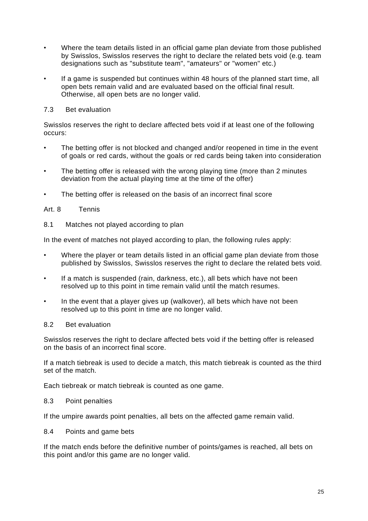- Where the team details listed in an official game plan deviate from those published by Swisslos, Swisslos reserves the right to declare the related bets void (e.g. team designations such as "substitute team", "amateurs" or "women" etc.)
- If a game is suspended but continues within 48 hours of the planned start time, all open bets remain valid and are evaluated based on the official final result. Otherwise, all open bets are no longer valid.

# 7.3 Bet evaluation

Swisslos reserves the right to declare affected bets void if at least one of the following occurs:

- The betting offer is not blocked and changed and/or reopened in time in the event of goals or red cards, without the goals or red cards being taken into consideration
- The betting offer is released with the wrong playing time (more than 2 minutes deviation from the actual playing time at the time of the offer)
- The betting offer is released on the basis of an incorrect final score

# Art. 8 Tennis

8.1 Matches not played according to plan

In the event of matches not played according to plan, the following rules apply:

- Where the player or team details listed in an official game plan deviate from those published by Swisslos, Swisslos reserves the right to declare the related bets void.
- If a match is suspended (rain, darkness, etc.), all bets which have not been resolved up to this point in time remain valid until the match resumes.
- In the event that a player gives up (walkover), all bets which have not been resolved up to this point in time are no longer valid.

#### 8.2 Bet evaluation

Swisslos reserves the right to declare affected bets void if the betting offer is released on the basis of an incorrect final score.

If a match tiebreak is used to decide a match, this match tiebreak is counted as the third set of the match.

Each tiebreak or match tiebreak is counted as one game.

#### 8.3 Point penalties

If the umpire awards point penalties, all bets on the affected game remain valid.

8.4 Points and game bets

If the match ends before the definitive number of points/games is reached, all bets on this point and/or this game are no longer valid.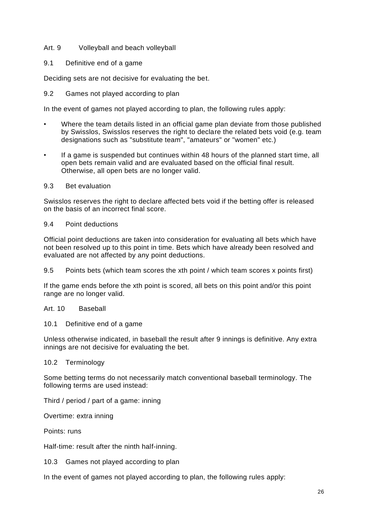# Art. 9 Volleyball and beach volleyball

#### 9.1 Definitive end of a game

Deciding sets are not decisive for evaluating the bet.

#### 9.2 Games not played according to plan

In the event of games not played according to plan, the following rules apply:

- Where the team details listed in an official game plan deviate from those published by Swisslos, Swisslos reserves the right to declare the related bets void (e.g. team designations such as "substitute team", "amateurs" or "women" etc.)
- If a game is suspended but continues within 48 hours of the planned start time, all open bets remain valid and are evaluated based on the official final result. Otherwise, all open bets are no longer valid.

#### 9.3 Bet evaluation

Swisslos reserves the right to declare affected bets void if the betting offer is released on the basis of an incorrect final score.

#### 9.4 Point deductions

Official point deductions are taken into consideration for evaluating all bets which have not been resolved up to this point in time. Bets which have already been resolved and evaluated are not affected by any point deductions.

9.5 Points bets (which team scores the xth point / which team scores x points first)

If the game ends before the xth point is scored, all bets on this point and/or this point range are no longer valid.

#### Art. 10 Baseball

#### 10.1 Definitive end of a game

Unless otherwise indicated, in baseball the result after 9 innings is definitive. Any extra innings are not decisive for evaluating the bet.

#### 10.2 Terminology

Some betting terms do not necessarily match conventional baseball terminology. The following terms are used instead:

Third / period / part of a game: inning

Overtime: extra inning

Points: runs

Half-time: result after the ninth half-inning.

10.3 Games not played according to plan

In the event of games not played according to plan, the following rules apply: